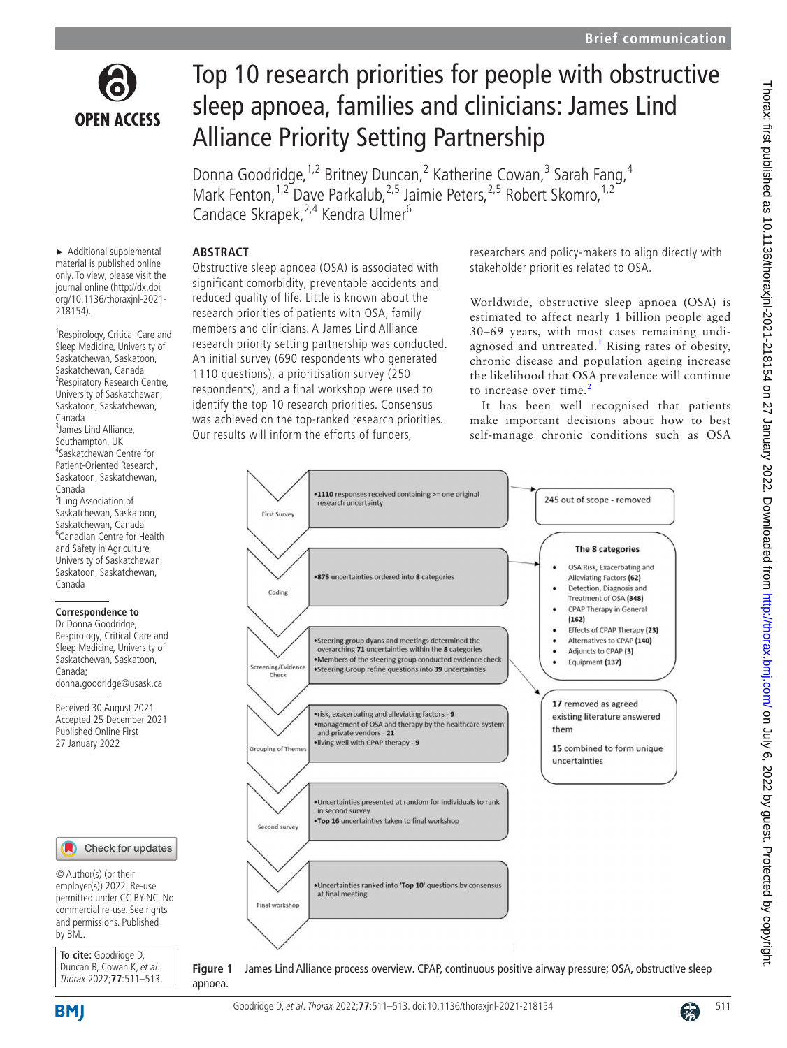

## Top 10 research priorities for people with obstructive sleep apnoea, families and clinicians: James Lind Alliance Priority Setting Partnership

Donna Goodridge, <sup>1,2</sup> Britney Duncan, <sup>2</sup> Katherine Cowan, <sup>3</sup> Sarah Fang, <sup>4</sup> Mark Fenton,<sup>1,2</sup> Dave Parkalub,<sup>2,5</sup> Jaimie Peters,<sup>2,5</sup> Robert Skomro,<sup>1,2</sup> Candace Skrapek,<sup>2,4</sup> Kendra Ulmer<sup>6</sup>

## **ABSTRACT**

Obstructive sleep apnoea (OSA) is associated with significant comorbidity, preventable accidents and reduced quality of life. Little is known about the research priorities of patients with OSA, family members and clinicians. A James Lind Alliance research priority setting partnership was conducted. An initial survey (690 respondents who generated 1110 questions), a prioritisation survey (250 respondents), and a final workshop were used to identify the top 10 research priorities. Consensus was achieved on the top-ranked research priorities. Our results will inform the efforts of funders,

► Additional supplemental material is published online only. To view, please visit the journal online ([http://dx.doi.](http://dx.doi.org/10.1136/thoraxjnl-2021-218154) [org/10.1136/thoraxjnl-2021-](http://dx.doi.org/10.1136/thoraxjnl-2021-218154) [218154](http://dx.doi.org/10.1136/thoraxjnl-2021-218154)).

<sup>1</sup> Respirology, Critical Care and Sleep Medicine, University of Saskatchewan, Saskatoon, Saskatchewan, Canada <sup>2</sup> Respiratory Research Centre, University of Saskatchewan, Saskatoon, Saskatchewan, Canada <sup>3</sup> James Lind Alliance, Southampton, UK 4 Saskatchewan Centre for Patient-Oriented Research, Saskatoon, Saskatchewan, Canada <sup>5</sup>Lung Association of Saskatchewan, Saskatoon, Saskatchewan, Canada 6 Canadian Centre for Health and Safety in Agriculture, University of Saskatchewan, Saskatoon, Saskatchewan, Canada



Received 30 August 2021 Accepted 25 December 2021 Published Online First 27 January 2022



© Author(s) (or their employer(s)) 2022. Re-use permitted under CC BY-NC. No commercial re-use. See rights and permissions. Published by BMJ.

**To cite:** Goodridge D, Duncan B, Cowan K, et al. Thorax 2022;**77**:511–513. researchers and policy-makers to align directly with stakeholder priorities related to OSA.

Worldwide, obstructive sleep apnoea (OSA) is estimated to affect nearly 1 billion people aged 30–69 years, with most cases remaining undi-agnosed and untreated.<sup>[1](#page-2-0)</sup> Rising rates of obesity, chronic disease and population ageing increase the likelihood that OSA prevalence will continue to increase over time.<sup>[2](#page-2-1)</sup>

It has been well recognised that patients make important decisions about how to best self-manage chronic conditions such as OSA



apnoea.

<span id="page-0-0"></span>**Figure 1** James Lind Alliance process overview. CPAP, continuous positive airway pressure; OSA, obstructive sleep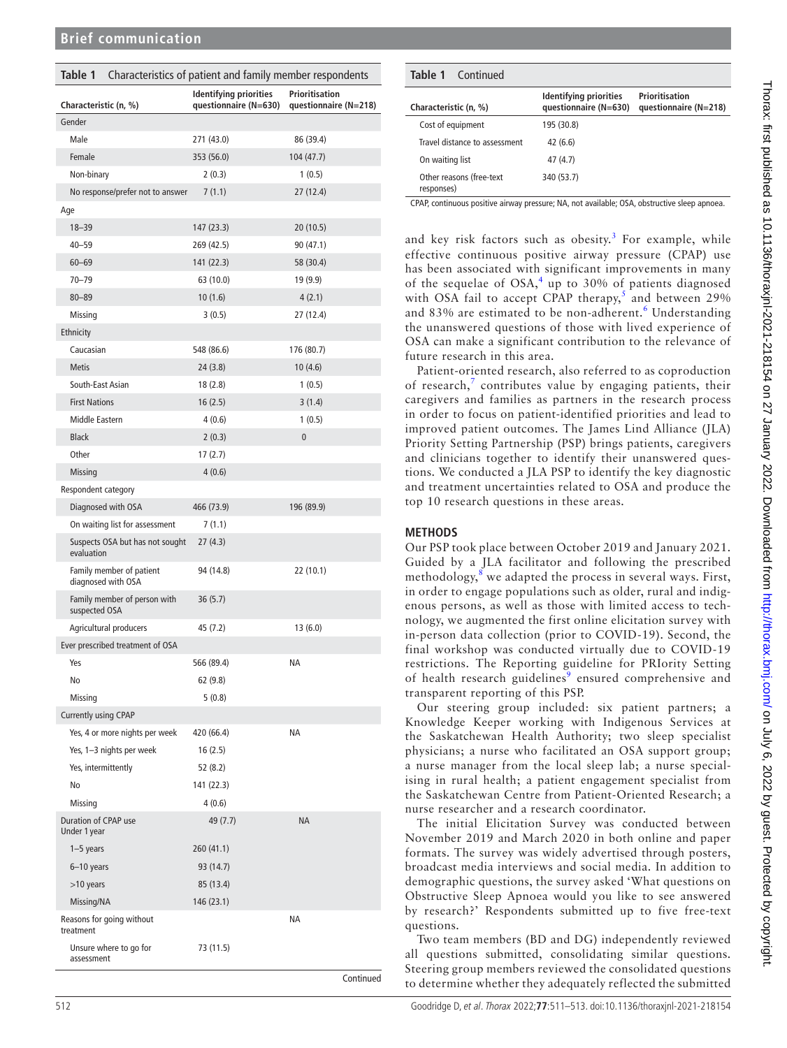<span id="page-1-0"></span>

| Characteristics of patient and family member respondents<br>Table 1 |                                                        |                                         |
|---------------------------------------------------------------------|--------------------------------------------------------|-----------------------------------------|
| Characteristic (n, %)                                               | <b>Identifying priorities</b><br>questionnaire (N=630) | Prioritisation<br>questionnaire (N=218) |
| Gender                                                              |                                                        |                                         |
| Male                                                                | 271 (43.0)                                             | 86 (39.4)                               |
| Female                                                              | 353 (56.0)                                             | 104 (47.7)                              |
| Non-binary                                                          | 2(0.3)                                                 | 1(0.5)                                  |
| No response/prefer not to answer                                    | 7(1.1)                                                 | 27 (12.4)                               |
| Age                                                                 |                                                        |                                         |
| $18 - 39$                                                           | 147 (23.3)                                             | 20 (10.5)                               |
| $40 - 59$                                                           | 269 (42.5)                                             | 90 (47.1)                               |
| $60 - 69$                                                           | 141 (22.3)                                             | 58 (30.4)                               |
| $70 - 79$                                                           | 63 (10.0)                                              | 19 (9.9)                                |
| $80 - 89$                                                           | 10(1.6)                                                | 4(2.1)                                  |
| Missing                                                             | 3(0.5)                                                 | 27 (12.4)                               |
| Ethnicity                                                           |                                                        |                                         |
| Caucasian                                                           | 548 (86.6)                                             | 176 (80.7)                              |
| <b>Metis</b>                                                        | 24 (3.8)                                               | 10(4.6)                                 |
| South-East Asian                                                    | 18(2.8)                                                | 1(0.5)                                  |
| <b>First Nations</b>                                                | 16(2.5)                                                | 3(1.4)                                  |
| Middle Eastern                                                      | 4(0.6)                                                 | 1(0.5)                                  |
| <b>Black</b>                                                        | 2(0.3)                                                 | 0                                       |
| Other                                                               | 17(2.7)                                                |                                         |
| Missing                                                             | 4(0.6)                                                 |                                         |
| Respondent category                                                 |                                                        |                                         |
| Diagnosed with OSA                                                  | 466 (73.9)                                             | 196 (89.9)                              |
| On waiting list for assessment                                      | 7(1.1)                                                 |                                         |
| Suspects OSA but has not sought<br>evaluation                       | 27(4.3)                                                |                                         |
| Family member of patient<br>diagnosed with OSA                      | 94 (14.8)                                              | 22 (10.1)                               |
| Family member of person with<br>suspected OSA                       | 36(5.7)                                                |                                         |
| Agricultural producers                                              | 45 (7.2)                                               | 13(6.0)                                 |
| Ever prescribed treatment of OSA                                    |                                                        |                                         |
| Yes                                                                 | 566 (89.4)                                             | ΝA                                      |
| No                                                                  | 62 (9.8)                                               |                                         |
| Missing                                                             | 5(0.8)                                                 |                                         |
| <b>Currently using CPAP</b>                                         |                                                        |                                         |
| Yes, 4 or more nights per week                                      | 420 (66.4)                                             | ΝA                                      |
| Yes, 1-3 nights per week                                            | 16(2.5)                                                |                                         |
| Yes, intermittently                                                 | 52 (8.2)                                               |                                         |
| No                                                                  | 141 (22.3)                                             |                                         |
| Missing                                                             | 4(0.6)                                                 |                                         |
| Duration of CPAP use<br>Under 1 year                                | 49 (7.7)                                               | <b>NA</b>                               |
| $1-5$ years                                                         | 260 (41.1)                                             |                                         |
| 6-10 years                                                          | 93 (14.7)                                              |                                         |
| >10 years                                                           | 85 (13.4)                                              |                                         |
| Missing/NA                                                          | 146 (23.1)                                             |                                         |
| Reasons for going without<br>treatment                              |                                                        | ΝA                                      |
| Unsure where to go for<br>assessment                                | 73 (11.5)                                              |                                         |

Continued

| <b>Table 1</b> Continued               |                                                        |                                         |
|----------------------------------------|--------------------------------------------------------|-----------------------------------------|
| Characteristic (n, %)                  | <b>Identifying priorities</b><br>questionnaire (N=630) | Prioritisation<br>questionnaire (N=218) |
| Cost of equipment                      | 195 (30.8)                                             |                                         |
| Travel distance to assessment          | 42(6.6)                                                |                                         |
| On waiting list                        | 47(4.7)                                                |                                         |
| Other reasons (free-text<br>responses) | 340 (53.7)                                             |                                         |

CPAP, continuous positive airway pressure; NA, not available; OSA, obstructive sleep apnoea.

and key risk factors such as obesity.<sup>[3](#page-2-2)</sup> For example, while effective continuous positive airway pressure (CPAP) use has been associated with significant improvements in many of the sequelae of  $OSA<sub>1</sub><sup>4</sup>$  $OSA<sub>1</sub><sup>4</sup>$  $OSA<sub>1</sub><sup>4</sup>$  up to 30% of patients diagnosed with OSA fail to accept CPAP therapy,<sup>[5](#page-2-4)</sup> and between 29% and 83% are estimated to be non-adherent.<sup>[6](#page-2-5)</sup> Understanding the unanswered questions of those with lived experience of OSA can make a significant contribution to the relevance of future research in this area.

Patient-oriented research, also referred to as coproduction of research, $7$  contributes value by engaging patients, their caregivers and families as partners in the research process in order to focus on patient-identified priorities and lead to improved patient outcomes. The James Lind Alliance (JLA) Priority Setting Partnership (PSP) brings patients, caregivers and clinicians together to identify their unanswered questions. We conducted a JLA PSP to identify the key diagnostic and treatment uncertainties related to OSA and produce the top 10 research questions in these areas.

## **METHODS**

Our PSP took place between October 2019 and January 2021. Guided by a JLA facilitator and following the prescribed methodology,<sup>[8](#page-2-7)</sup> we adapted the process in several ways. First, in order to engage populations such as older, rural and indigenous persons, as well as those with limited access to technology, we augmented the first online elicitation survey with in-person data collection (prior to COVID-19). Second, the final workshop was conducted virtually due to COVID-19 restrictions. The Reporting guideline for PRIority Setting of health research guidelines<sup>[9](#page-2-8)</sup> ensured comprehensive and transparent reporting of this PSP.

Our steering group included: six patient partners; a Knowledge Keeper working with Indigenous Services at the Saskatchewan Health Authority; two sleep specialist physicians; a nurse who facilitated an OSA support group; a nurse manager from the local sleep lab; a nurse specialising in rural health; a patient engagement specialist from the Saskatchewan Centre from Patient-Oriented Research; a nurse researcher and a research coordinator.

The initial Elicitation Survey was conducted between November 2019 and March 2020 in both online and paper formats. The survey was widely advertised through posters, broadcast media interviews and social media. In addition to demographic questions, the survey asked 'What questions on Obstructive Sleep Apnoea would you like to see answered by research?' Respondents submitted up to five free-text questions.

Two team members (BD and DG) independently reviewed all questions submitted, consolidating similar questions. Steering group members reviewed the consolidated questions to determine whether they adequately reflected the submitted